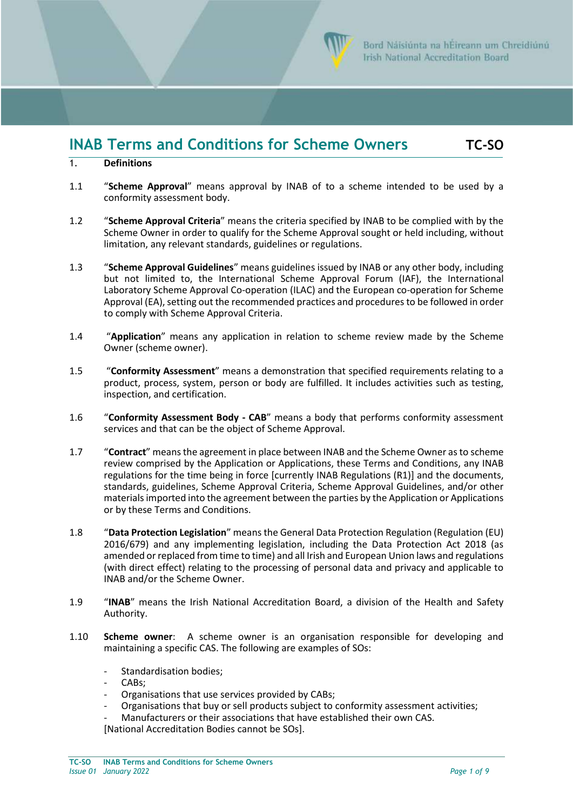

# **INAB Terms and Conditions for Scheme Owners TC-SO**

- 1. **Definitions**
- 1.1 "**Scheme Approval**" means approval by INAB of to a scheme intended to be used by a conformity assessment body.
- 1.2 "**Scheme Approval Criteria**" means the criteria specified by INAB to be complied with by the Scheme Owner in order to qualify for the Scheme Approval sought or held including, without limitation, any relevant standards, guidelines or regulations.
- 1.3 "**Scheme Approval Guidelines**" means guidelines issued by INAB or any other body, including but not limited to, the International Scheme Approval Forum (IAF), the International Laboratory Scheme Approval Co-operation (ILAC) and the European co-operation for Scheme Approval (EA), setting out the recommended practices and procedures to be followed in order to comply with Scheme Approval Criteria.
- 1.4 "**Application**" means any application in relation to scheme review made by the Scheme Owner (scheme owner).
- 1.5 "**Conformity Assessment**" means a demonstration that specified requirements relating to a product, process, system, person or body are fulfilled. It includes activities such as testing, inspection, and certification.
- 1.6 "**Conformity Assessment Body - CAB**" means a body that performs conformity assessment services and that can be the object of Scheme Approval.
- 1.7 "**Contract**" means the agreement in place between INAB and the Scheme Owner as to scheme review comprised by the Application or Applications, these Terms and Conditions, any INAB regulations for the time being in force [currently [INAB Regulations \(R1\)\] and t](https://www.inab.ie/Documents-Forms/Mandatory/R1-INAB-Regulations.pdf)he documents, standards, guidelines, Scheme Approval Criteria, Scheme Approval Guidelines, and/or other materials imported into the agreement between the parties by the Application or Applications or by these Terms and Conditions.
- 1.8 "**Data Protection Legislation**" means the General Data Protection Regulation (Regulation (EU) 2016/679) and any implementing legislation, including the Data Protection Act 2018 (as amended or replaced from time to time) and all Irish and European Union laws and regulations (with direct effect) relating to the processing of personal data and privacy and applicable to INAB and/or the Scheme Owner.
- 1.9 "**INAB**" means the Irish National Accreditation Board, a division of the Health and Safety Authority.
- 1.10 **Scheme owner**: A scheme owner is an organisation responsible for developing and maintaining a specific CAS. The following are examples of SOs:
	- Standardisation bodies;
	- CABs:
	- Organisations that use services provided by CABs;
	- Organisations that buy or sell products subject to conformity assessment activities;
	- Manufacturers or their associations that have established their own CAS.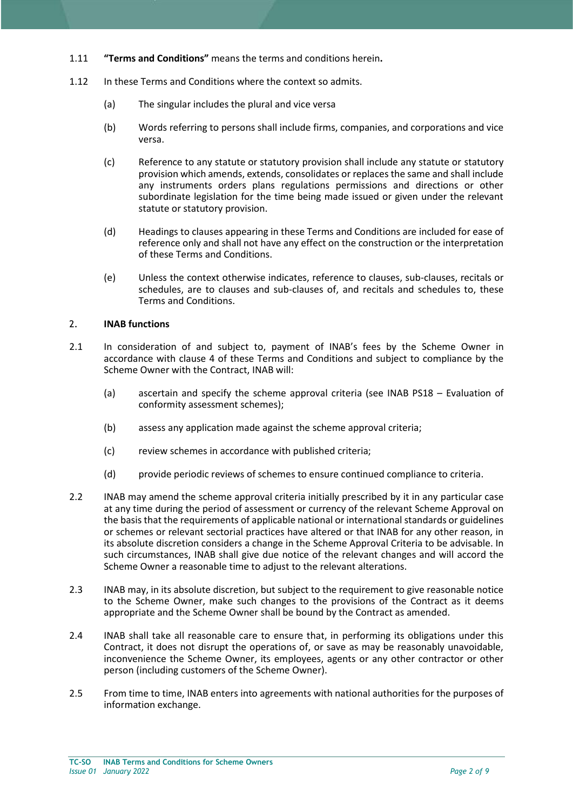- 1.11 **"Terms and Conditions"** means the terms and conditions herein**.**
- 1.12 In these Terms and Conditions where the context so admits.
	- (a) The singular includes the plural and vice versa
	- (b) Words referring to persons shall include firms, companies, and corporations and vice versa.
	- (c) Reference to any statute or statutory provision shall include any statute or statutory provision which amends, extends, consolidates or replaces the same and shall include any instruments orders plans regulations permissions and directions or other subordinate legislation for the time being made issued or given under the relevant statute or statutory provision.
	- (d) Headings to clauses appearing in these Terms and Conditions are included for ease of reference only and shall not have any effect on the construction or the interpretation of these Terms and Conditions.
	- (e) Unless the context otherwise indicates, reference to clauses, sub-clauses, recitals or schedules, are to clauses and sub-clauses of, and recitals and schedules to, these Terms and Conditions.

## 2. **INAB functions**

- 2.1 In consideration of and subject to, payment of INAB's fees by the Scheme Owner in accordance with clause 4 of these Terms and Conditions and subject to compliance by the Scheme Owner with the Contract, INAB will:
	- (a) ascertain and specify the scheme approval criteria (see INAB PS18 Evaluation of conformity assessment schemes);
	- (b) assess any application made against the scheme approval criteria;
	- (c) review schemes in accordance with published criteria;
	- (d) provide periodic reviews of schemes to ensure continued compliance to criteria.
- 2.2 INAB may amend the scheme approval criteria initially prescribed by it in any particular case at any time during the period of assessment or currency of the relevant Scheme Approval on the basis that the requirements of applicable national or international standards or guidelines or schemes or relevant sectorial practices have altered or that INAB for any other reason, in its absolute discretion considers a change in the Scheme Approval Criteria to be advisable. In such circumstances, INAB shall give due notice of the relevant changes and will accord the Scheme Owner a reasonable time to adjust to the relevant alterations.
- 2.3 INAB may, in its absolute discretion, but subject to the requirement to give reasonable notice to the Scheme Owner, make such changes to the provisions of the Contract as it deems appropriate and the Scheme Owner shall be bound by the Contract as amended.
- 2.4 INAB shall take all reasonable care to ensure that, in performing its obligations under this Contract, it does not disrupt the operations of, or save as may be reasonably unavoidable, inconvenience the Scheme Owner, its employees, agents or any other contractor or other person (including customers of the Scheme Owner).
- 2.5 From time to time, INAB enters into agreements with national authorities for the purposes of information exchange.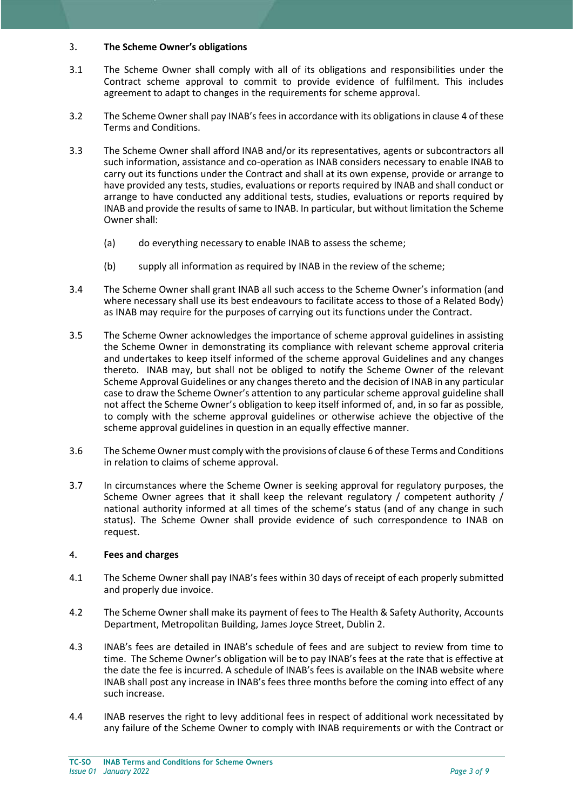## 3. **The Scheme Owner's obligations**

- 3.1 The Scheme Owner shall comply with all of its obligations and responsibilities under the Contract scheme approval to commit to provide evidence of fulfilment. This includes agreement to adapt to changes in the requirements for scheme approval.
- 3.2 The Scheme Ownershall pay INAB's fees in accordance with its obligations in clause 4 of these Terms and Conditions.
- 3.3 The Scheme Owner shall afford INAB and/or its representatives, agents or subcontractors all such information, assistance and co-operation as INAB considers necessary to enable INAB to carry out its functions under the Contract and shall at its own expense, provide or arrange to have provided any tests, studies, evaluations or reports required by INAB and shall conduct or arrange to have conducted any additional tests, studies, evaluations or reports required by INAB and provide the results of same to INAB. In particular, but without limitation the Scheme Owner shall:
	- (a) do everything necessary to enable INAB to assess the scheme;
	- (b) supply all information as required by INAB in the review of the scheme;
- 3.4 The Scheme Owner shall grant INAB all such access to the Scheme Owner's information (and where necessary shall use its best endeavours to facilitate access to those of a Related Body) as INAB may require for the purposes of carrying out its functions under the Contract.
- 3.5 The Scheme Owner acknowledges the importance of scheme approval guidelines in assisting the Scheme Owner in demonstrating its compliance with relevant scheme approval criteria and undertakes to keep itself informed of the scheme approval Guidelines and any changes thereto. INAB may, but shall not be obliged to notify the Scheme Owner of the relevant Scheme Approval Guidelines or any changes thereto and the decision of INAB in any particular case to draw the Scheme Owner's attention to any particular scheme approval guideline shall not affect the Scheme Owner's obligation to keep itself informed of, and, in so far as possible, to comply with the scheme approval guidelines or otherwise achieve the objective of the scheme approval guidelines in question in an equally effective manner.
- 3.6 The Scheme Owner must comply with the provisions of clause 6 of these Terms and Conditions in relation to claims of scheme approval.
- 3.7 In circumstances where the Scheme Owner is seeking approval for regulatory purposes, the Scheme Owner agrees that it shall keep the relevant regulatory / competent authority / national authority informed at all times of the scheme's status (and of any change in such status). The Scheme Owner shall provide evidence of such correspondence to INAB on request.

## 4. **Fees and charges**

- 4.1 The Scheme Owner shall pay INAB's fees within 30 days of receipt of each properly submitted and properly due invoice.
- 4.2 The Scheme Owner shall make its payment of fees to The Health & Safety Authority, Accounts Department, Metropolitan Building, James Joyce Street, Dublin 2.
- 4.3 INAB's fees are detailed in INAB's schedule of fees and are subject to review from time to time. The Scheme Owner's obligation will be to pay INAB's fees at the rate that is effective at the date the fee is incurred. A schedule of INAB's fees is available on the INAB website where INAB shall post any increase in INAB's fees three months before the coming into effect of any such increase.
- 4.4 INAB reserves the right to levy additional fees in respect of additional work necessitated by any failure of the Scheme Owner to comply with INAB requirements or with the Contract or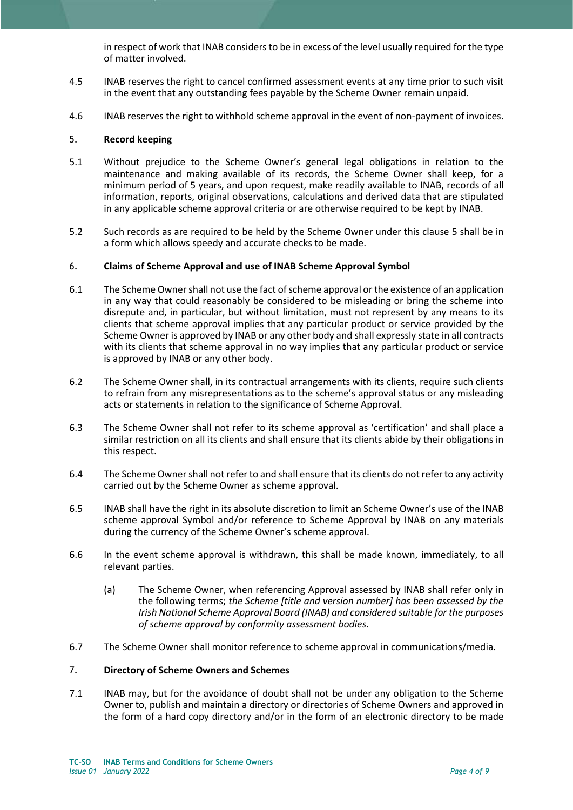in respect of work that INAB considers to be in excess of the level usually required for the type of matter involved.

- 4.5 INAB reserves the right to cancel confirmed assessment events at any time prior to such visit in the event that any outstanding fees payable by the Scheme Owner remain unpaid.
- 4.6 INAB reserves the right to withhold scheme approval in the event of non-payment of invoices.

### 5. **Record keeping**

- 5.1 Without prejudice to the Scheme Owner's general legal obligations in relation to the maintenance and making available of its records, the Scheme Owner shall keep, for a minimum period of 5 years, and upon request, make readily available to INAB, records of all information, reports, original observations, calculations and derived data that are stipulated in any applicable scheme approval criteria or are otherwise required to be kept by INAB.
- 5.2 Such records as are required to be held by the Scheme Owner under this clause 5 shall be in a form which allows speedy and accurate checks to be made.

#### 6. **Claims of Scheme Approval and use of INAB Scheme Approval Symbol**

- 6.1 The Scheme Owner shall not use the fact of scheme approval or the existence of an application in any way that could reasonably be considered to be misleading or bring the scheme into disrepute and, in particular, but without limitation, must not represent by any means to its clients that scheme approval implies that any particular product or service provided by the Scheme Owner is approved by INAB or any other body and shall expressly state in all contracts with its clients that scheme approval in no way implies that any particular product or service is approved by INAB or any other body.
- 6.2 The Scheme Owner shall, in its contractual arrangements with its clients, require such clients to refrain from any misrepresentations as to the scheme's approval status or any misleading acts or statements in relation to the significance of Scheme Approval.
- 6.3 The Scheme Owner shall not refer to its scheme approval as 'certification' and shall place a similar restriction on all its clients and shall ensure that its clients abide by their obligations in this respect.
- 6.4 The Scheme Ownershall not refer to and shall ensure that its clients do not refer to any activity carried out by the Scheme Owner as scheme approval.
- 6.5 INAB shall have the right in its absolute discretion to limit an Scheme Owner's use of the INAB scheme approval Symbol and/or reference to Scheme Approval by INAB on any materials during the currency of the Scheme Owner's scheme approval.
- 6.6 In the event scheme approval is withdrawn, this shall be made known, immediately, to all relevant parties.
	- (a) The Scheme Owner, when referencing Approval assessed by INAB shall refer only in the following terms; *the Scheme [title and version number] has been assessed by the Irish National Scheme Approval Board (INAB) and considered suitable for the purposes of scheme approval by conformity assessment bodies*.
- 6.7 The Scheme Owner shall monitor reference to scheme approval in communications/media.

## 7. **Directory of Scheme Owners and Schemes**

7.1 INAB may, but for the avoidance of doubt shall not be under any obligation to the Scheme Owner to, publish and maintain a directory or directories of Scheme Owners and approved in the form of a hard copy directory and/or in the form of an electronic directory to be made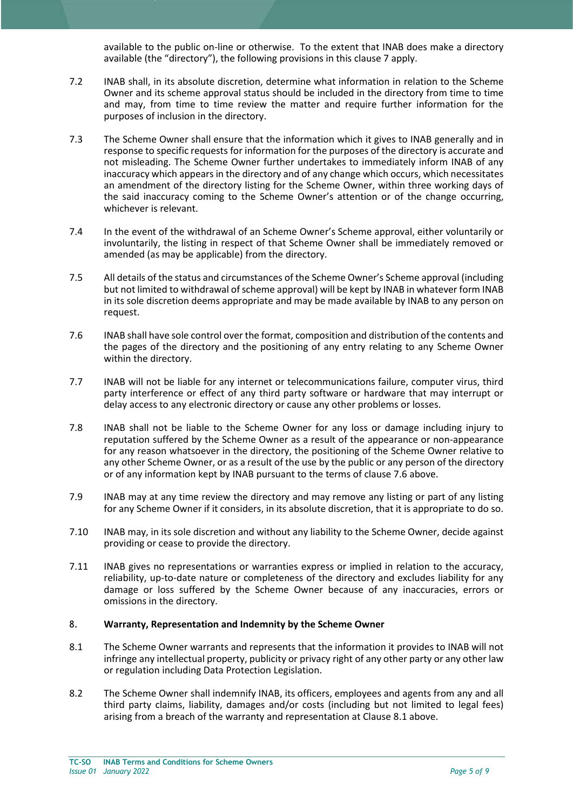available to the public on-line or otherwise. To the extent that INAB does make a directory available (the "directory"), the following provisions in this clause 7 apply.

- 7.2 INAB shall, in its absolute discretion, determine what information in relation to the Scheme Owner and its scheme approval status should be included in the directory from time to time and may, from time to time review the matter and require further information for the purposes of inclusion in the directory.
- 7.3 The Scheme Owner shall ensure that the information which it gives to INAB generally and in response to specific requests for information for the purposes of the directory is accurate and not misleading. The Scheme Owner further undertakes to immediately inform INAB of any inaccuracy which appears in the directory and of any change which occurs, which necessitates an amendment of the directory listing for the Scheme Owner, within three working days of the said inaccuracy coming to the Scheme Owner's attention or of the change occurring, whichever is relevant.
- 7.4 In the event of the withdrawal of an Scheme Owner's Scheme approval, either voluntarily or involuntarily, the listing in respect of that Scheme Owner shall be immediately removed or amended (as may be applicable) from the directory.
- 7.5 All details of the status and circumstances of the Scheme Owner's Scheme approval (including but not limited to withdrawal of scheme approval) will be kept by INAB in whatever form INAB in its sole discretion deems appropriate and may be made available by INAB to any person on request.
- 7.6 INAB shall have sole control over the format, composition and distribution of the contents and the pages of the directory and the positioning of any entry relating to any Scheme Owner within the directory.
- 7.7 INAB will not be liable for any internet or telecommunications failure, computer virus, third party interference or effect of any third party software or hardware that may interrupt or delay access to any electronic directory or cause any other problems or losses.
- 7.8 INAB shall not be liable to the Scheme Owner for any loss or damage including injury to reputation suffered by the Scheme Owner as a result of the appearance or non-appearance for any reason whatsoever in the directory, the positioning of the Scheme Owner relative to any other Scheme Owner, or as a result of the use by the public or any person of the directory or of any information kept by INAB pursuant to the terms of clause 7.6 above.
- 7.9 INAB may at any time review the directory and may remove any listing or part of any listing for any Scheme Owner if it considers, in its absolute discretion, that it is appropriate to do so.
- 7.10 INAB may, in its sole discretion and without any liability to the Scheme Owner, decide against providing or cease to provide the directory.
- 7.11 INAB gives no representations or warranties express or implied in relation to the accuracy, reliability, up-to-date nature or completeness of the directory and excludes liability for any damage or loss suffered by the Scheme Owner because of any inaccuracies, errors or omissions in the directory.

## 8. **Warranty, Representation and Indemnity by the Scheme Owner**

- 8.1 The Scheme Owner warrants and represents that the information it provides to INAB will not infringe any intellectual property, publicity or privacy right of any other party or any other law or regulation including Data Protection Legislation.
- 8.2 The Scheme Owner shall indemnify INAB, its officers, employees and agents from any and all third party claims, liability, damages and/or costs (including but not limited to legal fees) arising from a breach of the warranty and representation at Clause 8.1 above.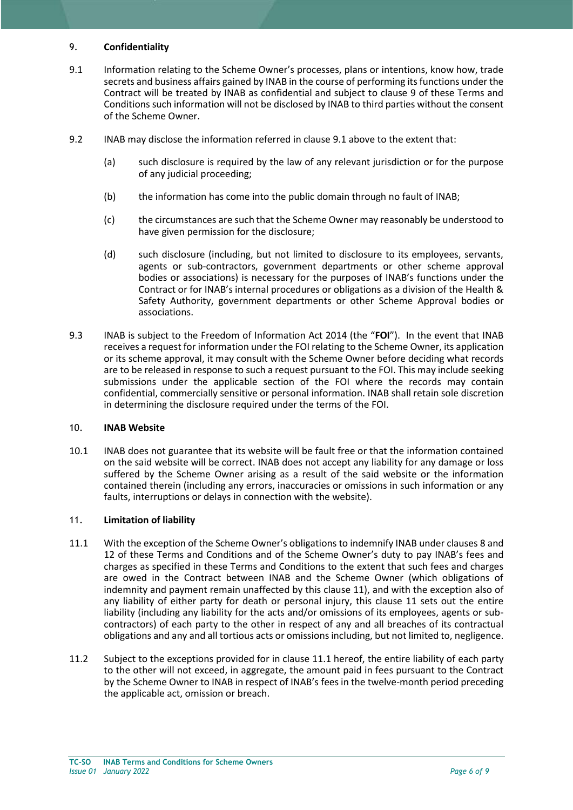# 9. **Confidentiality**

- 9.1 Information relating to the Scheme Owner's processes, plans or intentions, know how, trade secrets and business affairs gained by INAB in the course of performing its functions under the Contract will be treated by INAB as confidential and subject to clause 9 of these Terms and Conditions such information will not be disclosed by INAB to third parties without the consent of the Scheme Owner.
- 9.2 INAB may disclose the information referred in clause 9.1 above to the extent that:
	- (a) such disclosure is required by the law of any relevant jurisdiction or for the purpose of any judicial proceeding;
	- (b) the information has come into the public domain through no fault of INAB;
	- (c) the circumstances are such that the Scheme Owner may reasonably be understood to have given permission for the disclosure;
	- (d) such disclosure (including, but not limited to disclosure to its employees, servants, agents or sub-contractors, government departments or other scheme approval bodies or associations) is necessary for the purposes of INAB's functions under the Contract or for INAB's internal procedures or obligations as a division of the Health & Safety Authority, government departments or other Scheme Approval bodies or associations.
- 9.3 INAB is subject to the Freedom of Information Act 2014 (the "**FOI**"). In the event that INAB receives a request for information under the FOI relating to the Scheme Owner, its application or its scheme approval, it may consult with the Scheme Owner before deciding what records are to be released in response to such a request pursuant to the FOI. This may include seeking submissions under the applicable section of the FOI where the records may contain confidential, commercially sensitive or personal information. INAB shall retain sole discretion in determining the disclosure required under the terms of the FOI.

### 10. **INAB Website**

10.1 INAB does not guarantee that its website will be fault free or that the information contained on the said website will be correct. INAB does not accept any liability for any damage or loss suffered by the Scheme Owner arising as a result of the said website or the information contained therein (including any errors, inaccuracies or omissions in such information or any faults, interruptions or delays in connection with the website).

## 11. **Limitation of liability**

- 11.1 With the exception of the Scheme Owner's obligations to indemnify INAB under clauses 8 and 12 of these Terms and Conditions and of the Scheme Owner's duty to pay INAB's fees and charges as specified in these Terms and Conditions to the extent that such fees and charges are owed in the Contract between INAB and the Scheme Owner (which obligations of indemnity and payment remain unaffected by this clause 11), and with the exception also of any liability of either party for death or personal injury, this clause 11 sets out the entire liability (including any liability for the acts and/or omissions of its employees, agents or subcontractors) of each party to the other in respect of any and all breaches of its contractual obligations and any and all tortious acts or omissions including, but not limited to, negligence.
- 11.2 Subject to the exceptions provided for in clause 11.1 hereof, the entire liability of each party to the other will not exceed, in aggregate, the amount paid in fees pursuant to the Contract by the Scheme Owner to INAB in respect of INAB's fees in the twelve-month period preceding the applicable act, omission or breach.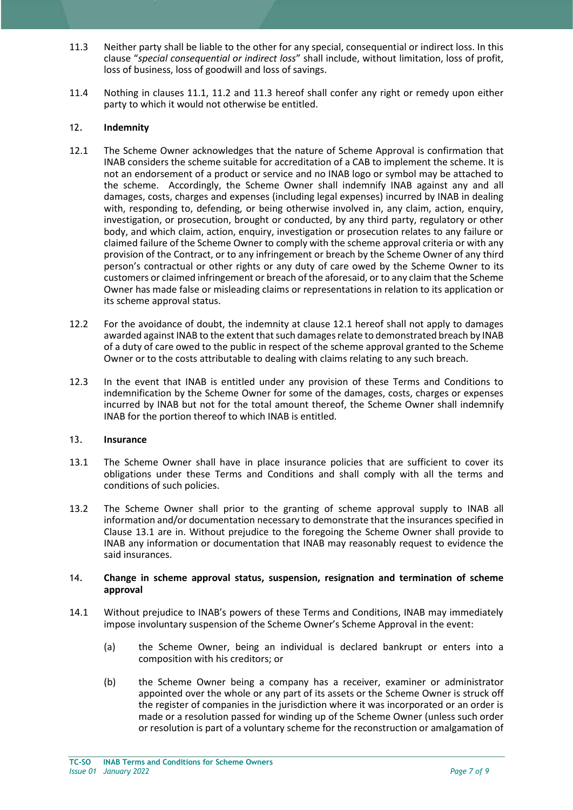- 11.3 Neither party shall be liable to the other for any special, consequential or indirect loss. In this clause "*special consequential or indirect loss*" shall include, without limitation, loss of profit, loss of business, loss of goodwill and loss of savings.
- 11.4 Nothing in clauses 11.1, 11.2 and 11.3 hereof shall confer any right or remedy upon either party to which it would not otherwise be entitled.

## 12. **Indemnity**

- 12.1 The Scheme Owner acknowledges that the nature of Scheme Approval is confirmation that INAB considers the scheme suitable for accreditation of a CAB to implement the scheme. It is not an endorsement of a product or service and no INAB logo or symbol may be attached to the scheme. Accordingly, the Scheme Owner shall indemnify INAB against any and all damages, costs, charges and expenses (including legal expenses) incurred by INAB in dealing with, responding to, defending, or being otherwise involved in, any claim, action, enquiry, investigation, or prosecution, brought or conducted, by any third party, regulatory or other body, and which claim, action, enquiry, investigation or prosecution relates to any failure or claimed failure of the Scheme Owner to comply with the scheme approval criteria or with any provision of the Contract, or to any infringement or breach by the Scheme Owner of any third person's contractual or other rights or any duty of care owed by the Scheme Owner to its customers or claimed infringement or breach of the aforesaid, or to any claim that the Scheme Owner has made false or misleading claims or representations in relation to its application or its scheme approval status.
- 12.2 For the avoidance of doubt, the indemnity at clause 12.1 hereof shall not apply to damages awarded against INAB to the extent that such damages relate to demonstrated breach by INAB of a duty of care owed to the public in respect of the scheme approval granted to the Scheme Owner or to the costs attributable to dealing with claims relating to any such breach.
- 12.3 In the event that INAB is entitled under any provision of these Terms and Conditions to indemnification by the Scheme Owner for some of the damages, costs, charges or expenses incurred by INAB but not for the total amount thereof, the Scheme Owner shall indemnify INAB for the portion thereof to which INAB is entitled.

## 13. **Insurance**

- 13.1 The Scheme Owner shall have in place insurance policies that are sufficient to cover its obligations under these Terms and Conditions and shall comply with all the terms and conditions of such policies.
- 13.2 The Scheme Owner shall prior to the granting of scheme approval supply to INAB all information and/or documentation necessary to demonstrate that the insurances specified in Clause 13.1 are in. Without prejudice to the foregoing the Scheme Owner shall provide to INAB any information or documentation that INAB may reasonably request to evidence the said insurances.

#### 14. **Change in scheme approval status, suspension, resignation and termination of scheme approval**

- 14.1 Without prejudice to INAB's powers of these Terms and Conditions, INAB may immediately impose involuntary suspension of the Scheme Owner's Scheme Approval in the event:
	- (a) the Scheme Owner, being an individual is declared bankrupt or enters into a composition with his creditors; or
	- (b) the Scheme Owner being a company has a receiver, examiner or administrator appointed over the whole or any part of its assets or the Scheme Owner is struck off the register of companies in the jurisdiction where it was incorporated or an order is made or a resolution passed for winding up of the Scheme Owner (unless such order or resolution is part of a voluntary scheme for the reconstruction or amalgamation of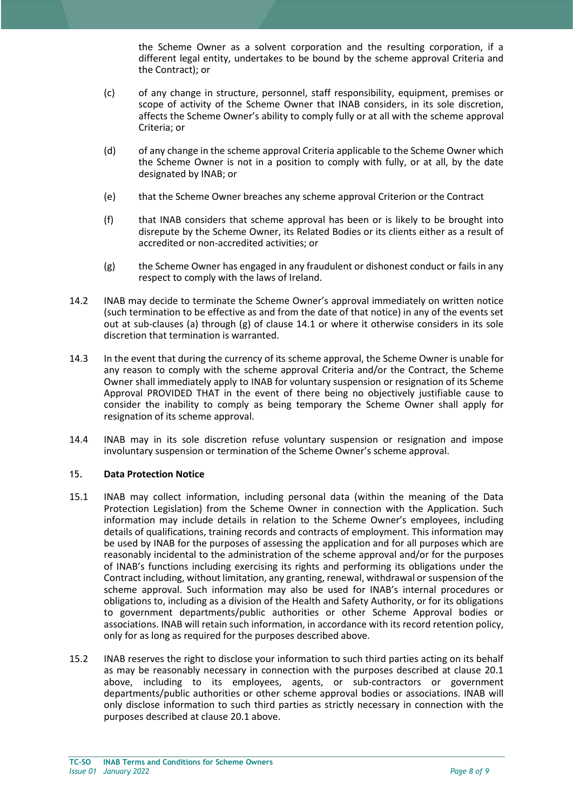the Scheme Owner as a solvent corporation and the resulting corporation, if a different legal entity, undertakes to be bound by the scheme approval Criteria and the Contract); or

- (c) of any change in structure, personnel, staff responsibility, equipment, premises or scope of activity of the Scheme Owner that INAB considers, in its sole discretion, affects the Scheme Owner's ability to comply fully or at all with the scheme approval Criteria; or
- (d) of any change in the scheme approval Criteria applicable to the Scheme Owner which the Scheme Owner is not in a position to comply with fully, or at all, by the date designated by INAB; or
- (e) that the Scheme Owner breaches any scheme approval Criterion or the Contract
- (f) that INAB considers that scheme approval has been or is likely to be brought into disrepute by the Scheme Owner, its Related Bodies or its clients either as a result of accredited or non-accredited activities; or
- (g) the Scheme Owner has engaged in any fraudulent or dishonest conduct or fails in any respect to comply with the laws of Ireland.
- 14.2 INAB may decide to terminate the Scheme Owner's approval immediately on written notice (such termination to be effective as and from the date of that notice) in any of the events set out at sub-clauses (a) through (g) of clause 14.1 or where it otherwise considers in its sole discretion that termination is warranted.
- 14.3 In the event that during the currency of its scheme approval, the Scheme Owner is unable for any reason to comply with the scheme approval Criteria and/or the Contract, the Scheme Owner shall immediately apply to INAB for voluntary suspension or resignation of its Scheme Approval PROVIDED THAT in the event of there being no objectively justifiable cause to consider the inability to comply as being temporary the Scheme Owner shall apply for resignation of its scheme approval.
- 14.4 INAB may in its sole discretion refuse voluntary suspension or resignation and impose involuntary suspension or termination of the Scheme Owner's scheme approval.

# 15. **Data Protection Notice**

- 15.1 INAB may collect information, including personal data (within the meaning of the Data Protection Legislation) from the Scheme Owner in connection with the Application. Such information may include details in relation to the Scheme Owner's employees, including details of qualifications, training records and contracts of employment. This information may be used by INAB for the purposes of assessing the application and for all purposes which are reasonably incidental to the administration of the scheme approval and/or for the purposes of INAB's functions including exercising its rights and performing its obligations under the Contract including, without limitation, any granting, renewal, withdrawal or suspension of the scheme approval. Such information may also be used for INAB's internal procedures or obligations to, including as a division of the Health and Safety Authority, or for its obligations to government departments/public authorities or other Scheme Approval bodies or associations. INAB will retain such information, in accordance with its record retention policy, only for as long as required for the purposes described above.
- 15.2 INAB reserves the right to disclose your information to such third parties acting on its behalf as may be reasonably necessary in connection with the purposes described at clause 20.1 above, including to its employees, agents, or sub-contractors or government departments/public authorities or other scheme approval bodies or associations. INAB will only disclose information to such third parties as strictly necessary in connection with the purposes described at clause 20.1 above.